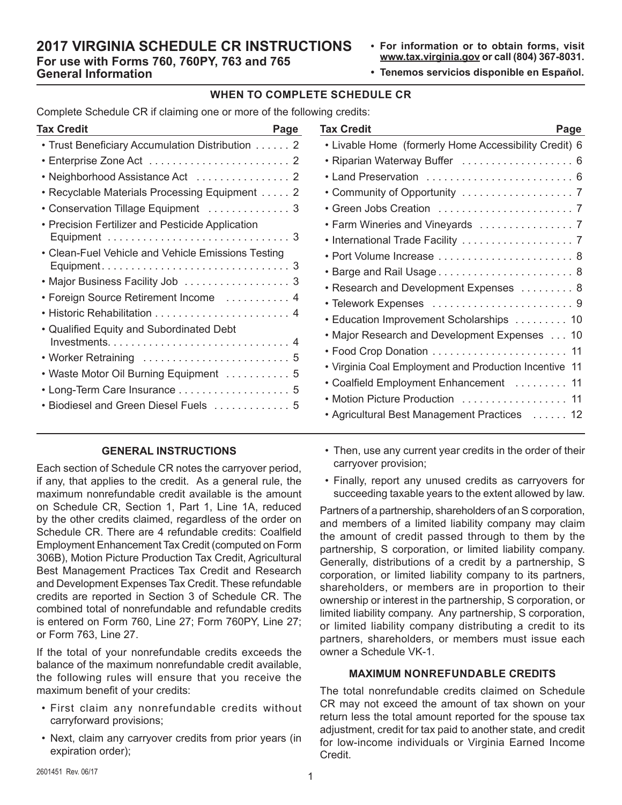# **2017 VIRGINIA SCHEDULE CR INSTRUCTIONS For use with Forms 760, 760PY, 763 and 765 General Information**

- **• For information or to obtain forms, visit www.tax.virginia.gov or call (804) 367-8031.**
- **• Tenemos servicios disponible en Español.**

#### **WHEN TO COMPLETE SCHEDULE CR**

Complete Schedule CR if claiming one or more of the following credits:

| Tax Credit<br>Page                                 |  |
|----------------------------------------------------|--|
| • Trust Beneficiary Accumulation Distribution 2    |  |
|                                                    |  |
|                                                    |  |
| Recyclable Materials Processing Equipment 2<br>٠   |  |
| Conservation Tillage Equipment  3                  |  |
| Precision Fertilizer and Pesticide Application     |  |
|                                                    |  |
| • Clean-Fuel Vehicle and Vehicle Emissions Testing |  |
|                                                    |  |
| • Major Business Facility Job 3                    |  |
| • Foreign Source Retirement Income  4              |  |
|                                                    |  |
| • Qualified Equity and Subordinated Debt           |  |
|                                                    |  |
| • Worker Retraining  5                             |  |
| • Waste Motor Oil Burning Equipment  5             |  |
| • Long-Term Care Insurance  5                      |  |
| Biodiesel and Green Diesel Fuels  5                |  |
|                                                    |  |

# **GENERAL INSTRUCTIONS**

Each section of Schedule CR notes the carryover period, if any, that applies to the credit. As a general rule, the maximum nonrefundable credit available is the amount on Schedule CR, Section 1, Part 1, Line 1A, reduced by the other credits claimed, regardless of the order on Schedule CR. There are 4 refundable credits: Coalfield Employment Enhancement Tax Credit (computed on Form 306B), Motion Picture Production Tax Credit, Agricultural Best Management Practices Tax Credit and Research and Development Expenses Tax Credit. These refundable credits are reported in Section 3 of Schedule CR. The combined total of nonrefundable and refundable credits is entered on Form 760, Line 27; Form 760PY, Line 27; or Form 763, Line 27.

If the total of your nonrefundable credits exceeds the balance of the maximum nonrefundable credit available, the following rules will ensure that you receive the maximum benefit of your credits:

- First claim any nonrefundable credits without carryforward provisions;
- Next, claim any carryover credits from prior years (in expiration order);

| Tax Credit<br>Page                                     |
|--------------------------------------------------------|
| • Livable Home (formerly Home Accessibility Credit) 6  |
| • Riparian Waterway Buffer  6                          |
|                                                        |
| • Community of Opportunity 7                           |
|                                                        |
|                                                        |
|                                                        |
| • Port Volume Increase  8                              |
|                                                        |
| • Research and Development Expenses 8                  |
| • Telework Expenses  9                                 |
| • Education Improvement Scholarships 10                |
| • Major Research and Development Expenses 10           |
|                                                        |
| • Virginia Coal Employment and Production Incentive 11 |
| • Coalfield Employment Enhancement  11                 |
| • Motion Picture Production  11                        |
| • Agricultural Best Management Practices 12            |
|                                                        |

- Then, use any current year credits in the order of their carryover provision;
- Finally, report any unused credits as carryovers for succeeding taxable years to the extent allowed by law.

Partners of a partnership, shareholders of an S corporation, and members of a limited liability company may claim the amount of credit passed through to them by the partnership, S corporation, or limited liability company. Generally, distributions of a credit by a partnership, S corporation, or limited liability company to its partners, shareholders, or members are in proportion to their ownership or interest in the partnership, S corporation, or limited liability company. Any partnership, S corporation, or limited liability company distributing a credit to its partners, shareholders, or members must issue each owner a Schedule VK-1.

#### **MAXIMUM NONREFUNDABLE CREDITS**

The total nonrefundable credits claimed on Schedule CR may not exceed the amount of tax shown on your return less the total amount reported for the spouse tax adjustment, credit for tax paid to another state, and credit for low-income individuals or Virginia Earned Income Credit.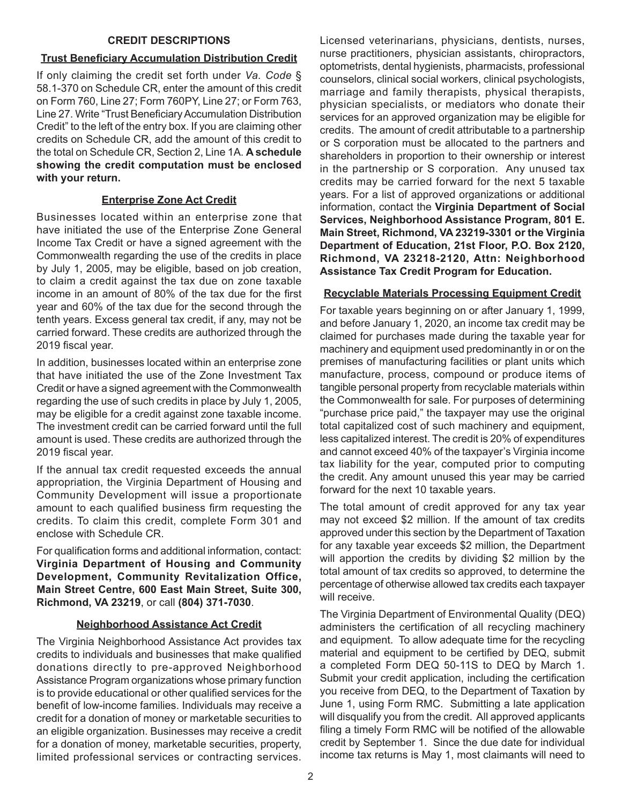#### **CREDIT DESCRIPTIONS**

# **Trust Beneficiary Accumulation Distribution Credit**

If only claiming the credit set forth under *Va. Code* § 58.1-370 on Schedule CR, enter the amount of this credit on Form 760, Line 27; Form 760PY, Line 27; or Form 763, Line 27. Write "Trust Beneficiary Accumulation Distribution Credit" to the left of the entry box. If you are claiming other credits on Schedule CR, add the amount of this credit to the total on Schedule CR, Section 2, Line 1A. **A schedule showing the credit computation must be enclosed with your return.**

# **Enterprise Zone Act Credit**

Businesses located within an enterprise zone that have initiated the use of the Enterprise Zone General Income Tax Credit or have a signed agreement with the Commonwealth regarding the use of the credits in place by July 1, 2005, may be eligible, based on job creation, to claim a credit against the tax due on zone taxable income in an amount of 80% of the tax due for the first year and 60% of the tax due for the second through the tenth years. Excess general tax credit, if any, may not be carried forward. These credits are authorized through the 2019 fiscal year.

In addition, businesses located within an enterprise zone that have initiated the use of the Zone Investment Tax Credit or have a signed agreement with the Commonwealth regarding the use of such credits in place by July 1, 2005, may be eligible for a credit against zone taxable income. The investment credit can be carried forward until the full amount is used. These credits are authorized through the 2019 fiscal year.

If the annual tax credit requested exceeds the annual appropriation, the Virginia Department of Housing and Community Development will issue a proportionate amount to each qualified business firm requesting the credits. To claim this credit, complete Form 301 and enclose with Schedule CR.

For qualification forms and additional information, contact: **Virginia Department of Housing and Community Development, Community Revitalization Office, Main Street Centre, 600 East Main Street, Suite 300, Richmond, VA 23219**, or call **(804) 371-7030**.

# **Neighborhood Assistance Act Credit**

The Virginia Neighborhood Assistance Act provides tax credits to individuals and businesses that make qualified donations directly to pre-approved Neighborhood Assistance Program organizations whose primary function is to provide educational or other qualified services for the benefit of low-income families. Individuals may receive a credit for a donation of money or marketable securities to an eligible organization. Businesses may receive a credit for a donation of money, marketable securities, property, limited professional services or contracting services.

Licensed veterinarians, physicians, dentists, nurses, nurse practitioners, physician assistants, chiropractors, optometrists, dental hygienists, pharmacists, professional counselors, clinical social workers, clinical psychologists, marriage and family therapists, physical therapists, physician specialists, or mediators who donate their services for an approved organization may be eligible for credits. The amount of credit attributable to a partnership or S corporation must be allocated to the partners and shareholders in proportion to their ownership or interest in the partnership or S corporation. Any unused tax credits may be carried forward for the next 5 taxable years. For a list of approved organizations or additional information, contact the **Virginia Department of Social Services, Neighborhood Assistance Program, 801 E. Main Street, Richmond, VA 23219-3301 or the Virginia Department of Education, 21st Floor, P.O. Box 2120, Richmond, VA 23218-2120, Attn: Neighborhood Assistance Tax Credit Program for Education.**

# **Recyclable Materials Processing Equipment Credit**

For taxable years beginning on or after January 1, 1999, and before January 1, 2020, an income tax credit may be claimed for purchases made during the taxable year for machinery and equipment used predominantly in or on the premises of manufacturing facilities or plant units which manufacture, process, compound or produce items of tangible personal property from recyclable materials within the Commonwealth for sale. For purposes of determining "purchase price paid," the taxpayer may use the original total capitalized cost of such machinery and equipment, less capitalized interest. The credit is 20% of expenditures and cannot exceed 40% of the taxpayer's Virginia income tax liability for the year, computed prior to computing the credit. Any amount unused this year may be carried forward for the next 10 taxable years.

The total amount of credit approved for any tax year may not exceed \$2 million. If the amount of tax credits approved under this section by the Department of Taxation for any taxable year exceeds \$2 million, the Department will apportion the credits by dividing \$2 million by the total amount of tax credits so approved, to determine the percentage of otherwise allowed tax credits each taxpayer will receive.

The Virginia Department of Environmental Quality (DEQ) administers the certification of all recycling machinery and equipment. To allow adequate time for the recycling material and equipment to be certified by DEQ, submit a completed Form DEQ 50-11S to DEQ by March 1. Submit your credit application, including the certification you receive from DEQ, to the Department of Taxation by June 1, using Form RMC. Submitting a late application will disqualify you from the credit. All approved applicants filing a timely Form RMC will be notified of the allowable credit by September 1. Since the due date for individual income tax returns is May 1, most claimants will need to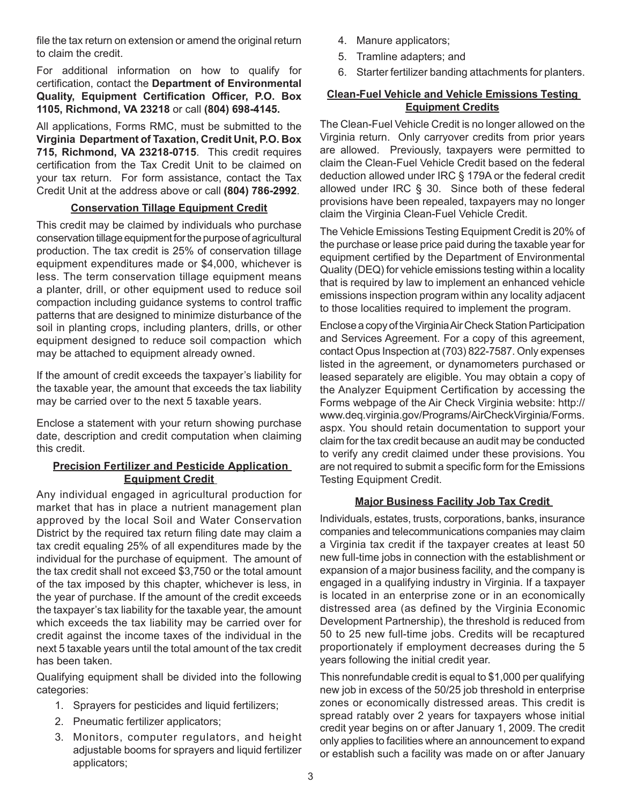file the tax return on extension or amend the original return to claim the credit.

For additional information on how to qualify for certification, contact the **Department of Environmental Quality, Equipment Certification Officer, P.O. Box 1105, Richmond, VA 23218** or call **(804) 698-4145.**

All applications, Forms RMC, must be submitted to the **Virginia Department of Taxation, Credit Unit, P.O. Box 715, Richmond, VA 23218-0715**. This credit requires certification from the Tax Credit Unit to be claimed on your tax return. For form assistance, contact the Tax Credit Unit at the address above or call **(804) 786-2992**.

#### **Conservation Tillage Equipment Credit**

This credit may be claimed by individuals who purchase conservation tillage equipment for the purpose of agricultural production. The tax credit is 25% of conservation tillage equipment expenditures made or \$4,000, whichever is less. The term conservation tillage equipment means a planter, drill, or other equipment used to reduce soil compaction including guidance systems to control traffic patterns that are designed to minimize disturbance of the soil in planting crops, including planters, drills, or other equipment designed to reduce soil compaction which may be attached to equipment already owned.

If the amount of credit exceeds the taxpayer's liability for the taxable year, the amount that exceeds the tax liability may be carried over to the next 5 taxable years.

Enclose a statement with your return showing purchase date, description and credit computation when claiming this credit.

# **Precision Fertilizer and Pesticide Application Equipment Credit**

Any individual engaged in agricultural production for market that has in place a nutrient management plan approved by the local Soil and Water Conservation District by the required tax return filing date may claim a tax credit equaling 25% of all expenditures made by the individual for the purchase of equipment. The amount of the tax credit shall not exceed \$3,750 or the total amount of the tax imposed by this chapter, whichever is less, in the year of purchase. If the amount of the credit exceeds the taxpayer's tax liability for the taxable year, the amount which exceeds the tax liability may be carried over for credit against the income taxes of the individual in the next 5 taxable years until the total amount of the tax credit has been taken.

Qualifying equipment shall be divided into the following categories:

- 1. Sprayers for pesticides and liquid fertilizers;
- 2. Pneumatic fertilizer applicators;
- 3. Monitors, computer regulators, and height adjustable booms for sprayers and liquid fertilizer applicators;
- 4. Manure applicators;
- 5. Tramline adapters; and
- 6. Starter fertilizer banding attachments for planters.

#### **Clean-Fuel Vehicle and Vehicle Emissions Testing Equipment Credits**

The Clean-Fuel Vehicle Credit is no longer allowed on the Virginia return. Only carryover credits from prior years are allowed. Previously, taxpayers were permitted to claim the Clean-Fuel Vehicle Credit based on the federal deduction allowed under IRC § 179A or the federal credit allowed under IRC § 30. Since both of these federal provisions have been repealed, taxpayers may no longer claim the Virginia Clean-Fuel Vehicle Credit.

The Vehicle Emissions Testing Equipment Credit is 20% of the purchase or lease price paid during the taxable year for equipment certified by the Department of Environmental Quality (DEQ) for vehicle emissions testing within a locality that is required by law to implement an enhanced vehicle emissions inspection program within any locality adjacent to those localities required to implement the program.

Enclose a copy of the Virginia Air Check Station Participation and Services Agreement. For a copy of this agreement, contact Opus Inspection at (703) 822-7587. Only expenses listed in the agreement, or dynamometers purchased or leased separately are eligible. You may obtain a copy of the Analyzer Equipment Certification by accessing the Forms webpage of the Air Check Virginia website: http:// www.deq.virginia.gov/Programs/AirCheckVirginia/Forms. aspx. You should retain documentation to support your claim for the tax credit because an audit may be conducted to verify any credit claimed under these provisions. You are not required to submit a specific form for the Emissions Testing Equipment Credit.

# **Major Business Facility Job Tax Credit**

Individuals, estates, trusts, corporations, banks, insurance companies and telecommunications companies may claim a Virginia tax credit if the taxpayer creates at least 50 new full-time jobs in connection with the establishment or expansion of a major business facility, and the company is engaged in a qualifying industry in Virginia. If a taxpayer is located in an enterprise zone or in an economically distressed area (as defined by the Virginia Economic Development Partnership), the threshold is reduced from 50 to 25 new full-time jobs. Credits will be recaptured proportionately if employment decreases during the 5 years following the initial credit year.

This nonrefundable credit is equal to \$1,000 per qualifying new job in excess of the 50/25 job threshold in enterprise zones or economically distressed areas. This credit is spread ratably over 2 years for taxpayers whose initial credit year begins on or after January 1, 2009. The credit only applies to facilities where an announcement to expand or establish such a facility was made on or after January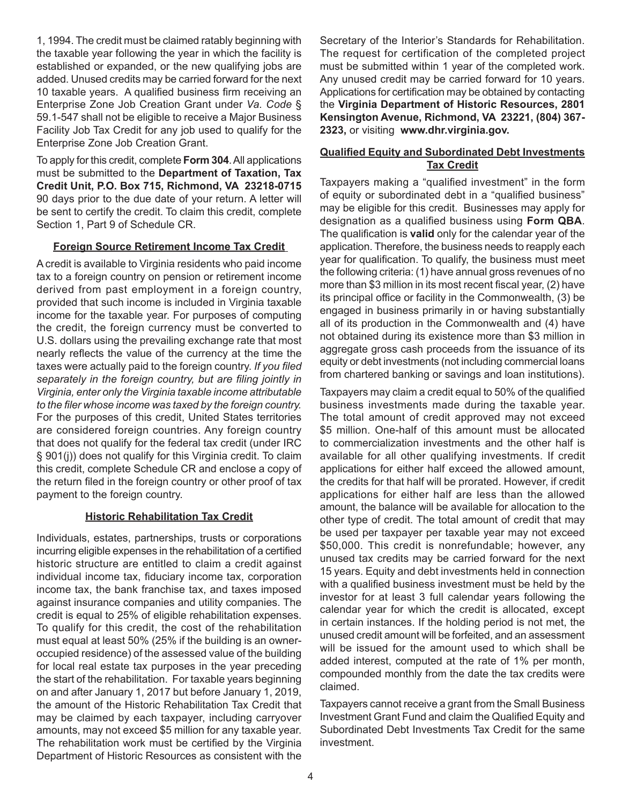1, 1994. The credit must be claimed ratably beginning with the taxable year following the year in which the facility is established or expanded, or the new qualifying jobs are added. Unused credits may be carried forward for the next 10 taxable years. A qualified business firm receiving an Enterprise Zone Job Creation Grant under *Va. Code* § 59.1-547 shall not be eligible to receive a Major Business Facility Job Tax Credit for any job used to qualify for the Enterprise Zone Job Creation Grant.

To apply for this credit, complete **Form 304**. All applications must be submitted to the **Department of Taxation, Tax Credit Unit, P.O. Box 715, Richmond, VA 23218-0715** 90 days prior to the due date of your return. A letter will be sent to certify the credit. To claim this credit, complete Section 1, Part 9 of Schedule CR.

#### **Foreign Source Retirement Income Tax Credit**

A credit is available to Virginia residents who paid income tax to a foreign country on pension or retirement income derived from past employment in a foreign country, provided that such income is included in Virginia taxable income for the taxable year. For purposes of computing the credit, the foreign currency must be converted to U.S. dollars using the prevailing exchange rate that most nearly reflects the value of the currency at the time the taxes were actually paid to the foreign country. *If you filed separately in the foreign country, but are filing jointly in Virginia, enter only the Virginia taxable income attributable to the filer whose income was taxed by the foreign country.*  For the purposes of this credit, United States territories are considered foreign countries. Any foreign country that does not qualify for the federal tax credit (under IRC § 901(j)) does not qualify for this Virginia credit. To claim this credit, complete Schedule CR and enclose a copy of the return filed in the foreign country or other proof of tax payment to the foreign country.

#### **Historic Rehabilitation Tax Credit**

Individuals, estates, partnerships, trusts or corporations incurring eligible expenses in the rehabilitation of a certified historic structure are entitled to claim a credit against individual income tax, fiduciary income tax, corporation income tax, the bank franchise tax, and taxes imposed against insurance companies and utility companies. The credit is equal to 25% of eligible rehabilitation expenses. To qualify for this credit, the cost of the rehabilitation must equal at least 50% (25% if the building is an owneroccupied residence) of the assessed value of the building for local real estate tax purposes in the year preceding the start of the rehabilitation. For taxable years beginning on and after January 1, 2017 but before January 1, 2019, the amount of the Historic Rehabilitation Tax Credit that may be claimed by each taxpayer, including carryover amounts, may not exceed \$5 million for any taxable year. The rehabilitation work must be certified by the Virginia Department of Historic Resources as consistent with the

Secretary of the Interior's Standards for Rehabilitation. The request for certification of the completed project must be submitted within 1 year of the completed work. Any unused credit may be carried forward for 10 years. Applications for certification may be obtained by contacting the **Virginia Department of Historic Resources, 2801 Kensington Avenue, Richmond, VA 23221, (804) 367- 2323,** or visiting **www.dhr.virginia.gov.** 

#### **Qualified Equity and Subordinated Debt Investments Tax Credit**

Taxpayers making a "qualified investment" in the form of equity or subordinated debt in a "qualified business" may be eligible for this credit. Businesses may apply for designation as a qualified business using **Form QBA**. The qualification is **valid** only for the calendar year of the application. Therefore, the business needs to reapply each year for qualification. To qualify, the business must meet the following criteria: (1) have annual gross revenues of no more than \$3 million in its most recent fiscal year, (2) have its principal office or facility in the Commonwealth, (3) be engaged in business primarily in or having substantially all of its production in the Commonwealth and (4) have not obtained during its existence more than \$3 million in aggregate gross cash proceeds from the issuance of its equity or debt investments (not including commercial loans from chartered banking or savings and loan institutions).

Taxpayers may claim a credit equal to 50% of the qualified business investments made during the taxable year. The total amount of credit approved may not exceed \$5 million. One-half of this amount must be allocated to commercialization investments and the other half is available for all other qualifying investments. If credit applications for either half exceed the allowed amount, the credits for that half will be prorated. However, if credit applications for either half are less than the allowed amount, the balance will be available for allocation to the other type of credit. The total amount of credit that may be used per taxpayer per taxable year may not exceed \$50,000. This credit is nonrefundable; however, any unused tax credits may be carried forward for the next 15 years. Equity and debt investments held in connection with a qualified business investment must be held by the investor for at least 3 full calendar years following the calendar year for which the credit is allocated, except in certain instances. If the holding period is not met, the unused credit amount will be forfeited, and an assessment will be issued for the amount used to which shall be added interest, computed at the rate of 1% per month, compounded monthly from the date the tax credits were claimed.

Taxpayers cannot receive a grant from the Small Business Investment Grant Fund and claim the Qualified Equity and Subordinated Debt Investments Tax Credit for the same investment.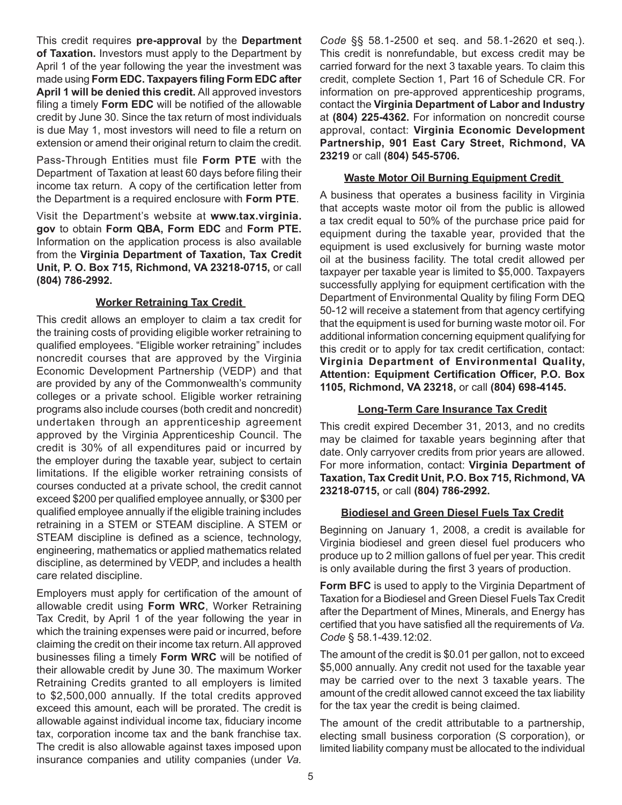This credit requires **pre-approval** by the **Department of Taxation.** Investors must apply to the Department by April 1 of the year following the year the investment was made using **Form EDC. Taxpayers filing Form EDC after April 1 will be denied this credit.** All approved investors filing a timely **Form EDC** will be notified of the allowable credit by June 30. Since the tax return of most individuals is due May 1, most investors will need to file a return on extension or amend their original return to claim the credit.

Pass-Through Entities must file **Form PTE** with the Department of Taxation at least 60 days before filing their income tax return. A copy of the certification letter from the Department is a required enclosure with **Form PTE**.

Visit the Department's website at **www.tax.virginia. gov** to obtain **Form QBA, Form EDC** and **Form PTE.** Information on the application process is also available from the **Virginia Department of Taxation, Tax Credit Unit, P. O. Box 715, Richmond, VA 23218-0715,** or call **(804) 786-2992.**

#### **Worker Retraining Tax Credit**

This credit allows an employer to claim a tax credit for the training costs of providing eligible worker retraining to qualified employees. "Eligible worker retraining" includes noncredit courses that are approved by the Virginia Economic Development Partnership (VEDP) and that are provided by any of the Commonwealth's community colleges or a private school. Eligible worker retraining programs also include courses (both credit and noncredit) undertaken through an apprenticeship agreement approved by the Virginia Apprenticeship Council. The credit is 30% of all expenditures paid or incurred by the employer during the taxable year, subject to certain limitations. If the eligible worker retraining consists of courses conducted at a private school, the credit cannot exceed \$200 per qualified employee annually, or \$300 per qualified employee annually if the eligible training includes retraining in a STEM or STEAM discipline. A STEM or STEAM discipline is defined as a science, technology, engineering, mathematics or applied mathematics related discipline, as determined by VEDP, and includes a health care related discipline.

Employers must apply for certification of the amount of allowable credit using **Form WRC**, Worker Retraining Tax Credit, by April 1 of the year following the year in which the training expenses were paid or incurred, before claiming the credit on their income tax return. All approved businesses filing a timely **Form WRC** will be notified of their allowable credit by June 30. The maximum Worker Retraining Credits granted to all employers is limited to \$2,500,000 annually. If the total credits approved exceed this amount, each will be prorated. The credit is allowable against individual income tax, fiduciary income tax, corporation income tax and the bank franchise tax. The credit is also allowable against taxes imposed upon insurance companies and utility companies (under *Va.* 

*Code* §§ 58.1-2500 et seq. and 58.1-2620 et seq.). This credit is nonrefundable, but excess credit may be carried forward for the next 3 taxable years. To claim this credit, complete Section 1, Part 16 of Schedule CR. For information on pre-approved apprenticeship programs, contact the **Virginia Department of Labor and Industry**  at **(804) 225-4362.** For information on noncredit course approval, contact: **Virginia Economic Development Partnership, 901 East Cary Street, Richmond, VA 23219** or call **(804) 545-5706.**

#### **Waste Motor Oil Burning Equipment Credit**

A business that operates a business facility in Virginia that accepts waste motor oil from the public is allowed a tax credit equal to 50% of the purchase price paid for equipment during the taxable year, provided that the equipment is used exclusively for burning waste motor oil at the business facility. The total credit allowed per taxpayer per taxable year is limited to \$5,000. Taxpayers successfully applying for equipment certification with the Department of Environmental Quality by filing Form DEQ 50-12 will receive a statement from that agency certifying that the equipment is used for burning waste motor oil. For additional information concerning equipment qualifying for this credit or to apply for tax credit certification, contact: **Virginia Department of Environmental Quality, Attention: Equipment Certification Officer, P.O. Box 1105, Richmond, VA 23218,** or call **(804) 698-4145.**

# **Long-Term Care Insurance Tax Credit**

This credit expired December 31, 2013, and no credits may be claimed for taxable years beginning after that date. Only carryover credits from prior years are allowed. For more information, contact: **Virginia Department of Taxation, Tax Credit Unit, P.O. Box 715, Richmond, VA 23218-0715,** or call **(804) 786-2992.**

#### **Biodiesel and Green Diesel Fuels Tax Credit**

Beginning on January 1, 2008, a credit is available for Virginia biodiesel and green diesel fuel producers who produce up to 2 million gallons of fuel per year. This credit is only available during the first 3 years of production.

**Form BFC** is used to apply to the Virginia Department of Taxation for a Biodiesel and Green Diesel Fuels Tax Credit after the Department of Mines, Minerals, and Energy has certified that you have satisfied all the requirements of *Va. Code* § 58.1-439.12:02.

The amount of the credit is \$0.01 per gallon, not to exceed \$5,000 annually. Any credit not used for the taxable year may be carried over to the next 3 taxable years. The amount of the credit allowed cannot exceed the tax liability for the tax year the credit is being claimed.

The amount of the credit attributable to a partnership, electing small business corporation (S corporation), or limited liability company must be allocated to the individual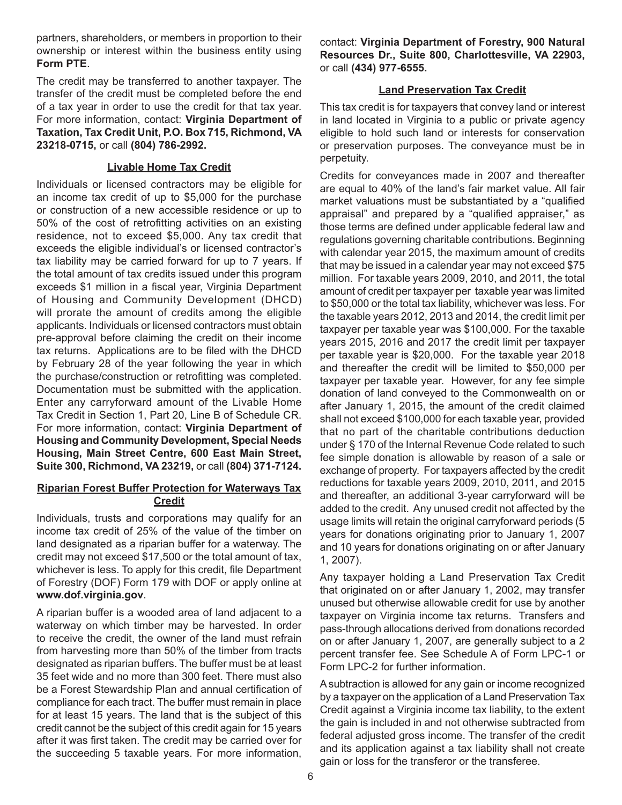partners, shareholders, or members in proportion to their ownership or interest within the business entity using **Form PTE**.

The credit may be transferred to another taxpayer. The transfer of the credit must be completed before the end of a tax year in order to use the credit for that tax year. For more information, contact: **Virginia Department of Taxation, Tax Credit Unit, P.O. Box 715, Richmond, VA 23218-0715,** or call **(804) 786-2992.**

#### **Livable Home Tax Credit**

Individuals or licensed contractors may be eligible for an income tax credit of up to \$5,000 for the purchase or construction of a new accessible residence or up to 50% of the cost of retrofitting activities on an existing residence, not to exceed \$5,000. Any tax credit that exceeds the eligible individual's or licensed contractor's tax liability may be carried forward for up to 7 years. If the total amount of tax credits issued under this program exceeds \$1 million in a fiscal year, Virginia Department of Housing and Community Development (DHCD) will prorate the amount of credits among the eligible applicants. Individuals or licensed contractors must obtain pre-approval before claiming the credit on their income tax returns. Applications are to be filed with the DHCD by February 28 of the year following the year in which the purchase/construction or retrofitting was completed. Documentation must be submitted with the application. Enter any carryforward amount of the Livable Home Tax Credit in Section 1, Part 20, Line B of Schedule CR. For more information, contact: **Virginia Department of Housing and Community Development, Special Needs Housing, Main Street Centre, 600 East Main Street, Suite 300, Richmond, VA 23219,** or call **(804) 371-7124.**

#### **Riparian Forest Buffer Protection for Waterways Tax Credit**

Individuals, trusts and corporations may qualify for an income tax credit of 25% of the value of the timber on land designated as a riparian buffer for a waterway. The credit may not exceed \$17,500 or the total amount of tax, whichever is less. To apply for this credit, file Department of Forestry (DOF) Form 179 with DOF or apply online at **www.dof.virginia.gov**.

A riparian buffer is a wooded area of land adjacent to a waterway on which timber may be harvested. In order to receive the credit, the owner of the land must refrain from harvesting more than 50% of the timber from tracts designated as riparian buffers. The buffer must be at least 35 feet wide and no more than 300 feet. There must also be a Forest Stewardship Plan and annual certification of compliance for each tract. The buffer must remain in place for at least 15 years. The land that is the subject of this credit cannot be the subject of this credit again for 15 years after it was first taken. The credit may be carried over for the succeeding 5 taxable years. For more information,

contact: **Virginia Department of Forestry, 900 Natural Resources Dr., Suite 800, Charlottesville, VA 22903,**  or call **(434) 977-6555.** 

### **Land Preservation Tax Credit**

This tax credit is for taxpayers that convey land or interest in land located in Virginia to a public or private agency eligible to hold such land or interests for conservation or preservation purposes. The conveyance must be in perpetuity.

Credits for conveyances made in 2007 and thereafter are equal to 40% of the land's fair market value. All fair market valuations must be substantiated by a "qualified appraisal" and prepared by a "qualified appraiser," as those terms are defined under applicable federal law and regulations governing charitable contributions. Beginning with calendar year 2015, the maximum amount of credits that may be issued in a calendar year may not exceed \$75 million. For taxable years 2009, 2010, and 2011, the total amount of credit per taxpayer per taxable year was limited to \$50,000 or the total tax liability, whichever was less. For the taxable years 2012, 2013 and 2014, the credit limit per taxpayer per taxable year was \$100,000. For the taxable years 2015, 2016 and 2017 the credit limit per taxpayer per taxable year is \$20,000. For the taxable year 2018 and thereafter the credit will be limited to \$50,000 per taxpayer per taxable year. However, for any fee simple donation of land conveyed to the Commonwealth on or after January 1, 2015, the amount of the credit claimed shall not exceed \$100,000 for each taxable year, provided that no part of the charitable contributions deduction under § 170 of the Internal Revenue Code related to such fee simple donation is allowable by reason of a sale or exchange of property. For taxpayers affected by the credit reductions for taxable years 2009, 2010, 2011, and 2015 and thereafter, an additional 3-year carryforward will be added to the credit. Any unused credit not affected by the usage limits will retain the original carryforward periods (5 years for donations originating prior to January 1, 2007 and 10 years for donations originating on or after January 1, 2007).

Any taxpayer holding a Land Preservation Tax Credit that originated on or after January 1, 2002, may transfer unused but otherwise allowable credit for use by another taxpayer on Virginia income tax returns. Transfers and pass-through allocations derived from donations recorded on or after January 1, 2007, are generally subject to a 2 percent transfer fee. See Schedule A of Form LPC-1 or Form LPC-2 for further information.

A subtraction is allowed for any gain or income recognized by a taxpayer on the application of a Land Preservation Tax Credit against a Virginia income tax liability, to the extent the gain is included in and not otherwise subtracted from federal adjusted gross income. The transfer of the credit and its application against a tax liability shall not create gain or loss for the transferor or the transferee.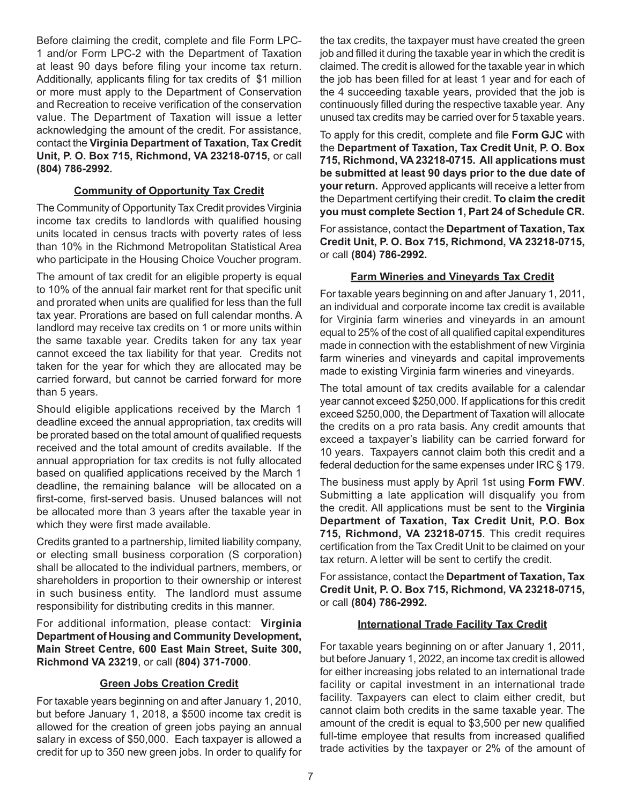Before claiming the credit, complete and file Form LPC-1 and/or Form LPC-2 with the Department of Taxation at least 90 days before filing your income tax return. Additionally, applicants filing for tax credits of \$1 million or more must apply to the Department of Conservation and Recreation to receive verification of the conservation value. The Department of Taxation will issue a letter acknowledging the amount of the credit. For assistance, contact the **Virginia Department of Taxation, Tax Credit Unit, P. O. Box 715, Richmond, VA 23218-0715,** or call **(804) 786-2992.**

# **Community of Opportunity Tax Credit**

The Community of Opportunity Tax Credit provides Virginia income tax credits to landlords with qualified housing units located in census tracts with poverty rates of less than 10% in the Richmond Metropolitan Statistical Area who participate in the Housing Choice Voucher program.

The amount of tax credit for an eligible property is equal to 10% of the annual fair market rent for that specific unit and prorated when units are qualified for less than the full tax year. Prorations are based on full calendar months. A landlord may receive tax credits on 1 or more units within the same taxable year. Credits taken for any tax year cannot exceed the tax liability for that year. Credits not taken for the year for which they are allocated may be carried forward, but cannot be carried forward for more than 5 years.

Should eligible applications received by the March 1 deadline exceed the annual appropriation, tax credits will be prorated based on the total amount of qualified requests received and the total amount of credits available. If the annual appropriation for tax credits is not fully allocated based on qualified applications received by the March 1 deadline, the remaining balance will be allocated on a first-come, first-served basis. Unused balances will not be allocated more than 3 years after the taxable year in which they were first made available.

Credits granted to a partnership, limited liability company, or electing small business corporation (S corporation) shall be allocated to the individual partners, members, or shareholders in proportion to their ownership or interest in such business entity. The landlord must assume responsibility for distributing credits in this manner.

For additional information, please contact: **Virginia Department of Housing and Community Development, Main Street Centre, 600 East Main Street, Suite 300, Richmond VA 23219**, or call **(804) 371-7000**.

# **Green Jobs Creation Credit**

For taxable years beginning on and after January 1, 2010, but before January 1, 2018, a \$500 income tax credit is allowed for the creation of green jobs paying an annual salary in excess of \$50,000. Each taxpayer is allowed a credit for up to 350 new green jobs. In order to qualify for the tax credits, the taxpayer must have created the green job and filled it during the taxable year in which the credit is claimed. The credit is allowed for the taxable year in which the job has been filled for at least 1 year and for each of the 4 succeeding taxable years, provided that the job is continuously filled during the respective taxable year. Any unused tax credits may be carried over for 5 taxable years.

To apply for this credit, complete and file **Form GJC** with the **Department of Taxation, Tax Credit Unit, P. O. Box 715, Richmond, VA 23218-0715. All applications must be submitted at least 90 days prior to the due date of your return.** Approved applicants will receive a letter from the Department certifying their credit. **To claim the credit you must complete Section 1, Part 24 of Schedule CR.**

For assistance, contact the **Department of Taxation, Tax Credit Unit, P. O. Box 715, Richmond, VA 23218-0715,**  or call **(804) 786-2992.**

# **Farm Wineries and Vineyards Tax Credit**

For taxable years beginning on and after January 1, 2011, an individual and corporate income tax credit is available for Virginia farm wineries and vineyards in an amount equal to 25% of the cost of all qualified capital expenditures made in connection with the establishment of new Virginia farm wineries and vineyards and capital improvements made to existing Virginia farm wineries and vineyards.

The total amount of tax credits available for a calendar year cannot exceed \$250,000. If applications for this credit exceed \$250,000, the Department of Taxation will allocate the credits on a pro rata basis. Any credit amounts that exceed a taxpayer's liability can be carried forward for 10 years. Taxpayers cannot claim both this credit and a federal deduction for the same expenses under IRC § 179.

The business must apply by April 1st using **Form FWV**. Submitting a late application will disqualify you from the credit. All applications must be sent to the **Virginia Department of Taxation, Tax Credit Unit, P.O. Box 715, Richmond, VA 23218-0715**. This credit requires certification from the Tax Credit Unit to be claimed on your tax return. A letter will be sent to certify the credit.

For assistance, contact the **Department of Taxation, Tax Credit Unit, P. O. Box 715, Richmond, VA 23218-0715,**  or call **(804) 786-2992.**

# **International Trade Facility Tax Credit**

For taxable years beginning on or after January 1, 2011, but before January 1, 2022, an income tax credit is allowed for either increasing jobs related to an international trade facility or capital investment in an international trade facility. Taxpayers can elect to claim either credit, but cannot claim both credits in the same taxable year. The amount of the credit is equal to \$3,500 per new qualified full-time employee that results from increased qualified trade activities by the taxpayer or 2% of the amount of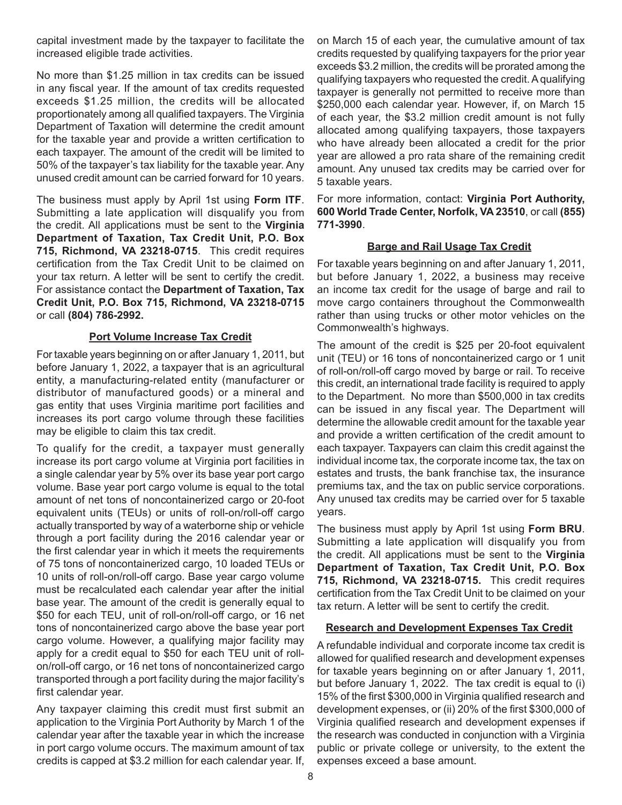capital investment made by the taxpayer to facilitate the increased eligible trade activities.

No more than \$1.25 million in tax credits can be issued in any fiscal year. If the amount of tax credits requested exceeds \$1.25 million, the credits will be allocated proportionately among all qualified taxpayers. The Virginia Department of Taxation will determine the credit amount for the taxable year and provide a written certification to each taxpayer. The amount of the credit will be limited to 50% of the taxpayer's tax liability for the taxable year. Any unused credit amount can be carried forward for 10 years.

The business must apply by April 1st using **Form ITF**. Submitting a late application will disqualify you from the credit. All applications must be sent to the **Virginia Department of Taxation, Tax Credit Unit, P.O. Box 715, Richmond, VA 23218-0715**. This credit requires certification from the Tax Credit Unit to be claimed on your tax return. A letter will be sent to certify the credit. For assistance contact the **Department of Taxation, Tax Credit Unit, P.O. Box 715, Richmond, VA 23218-0715**  or call **(804) 786-2992.**

#### **Port Volume Increase Tax Credit**

For taxable years beginning on or after January 1, 2011, but before January 1, 2022, a taxpayer that is an agricultural entity, a manufacturing-related entity (manufacturer or distributor of manufactured goods) or a mineral and gas entity that uses Virginia maritime port facilities and increases its port cargo volume through these facilities may be eligible to claim this tax credit.

To qualify for the credit, a taxpayer must generally increase its port cargo volume at Virginia port facilities in a single calendar year by 5% over its base year port cargo volume. Base year port cargo volume is equal to the total amount of net tons of noncontainerized cargo or 20-foot equivalent units (TEUs) or units of roll-on/roll-off cargo actually transported by way of a waterborne ship or vehicle through a port facility during the 2016 calendar year or the first calendar year in which it meets the requirements of 75 tons of noncontainerized cargo, 10 loaded TEUs or 10 units of roll-on/roll-off cargo. Base year cargo volume must be recalculated each calendar year after the initial base year. The amount of the credit is generally equal to \$50 for each TEU, unit of roll-on/roll-off cargo, or 16 net tons of noncontainerized cargo above the base year port cargo volume. However, a qualifying major facility may apply for a credit equal to \$50 for each TEU unit of rollon/roll-off cargo, or 16 net tons of noncontainerized cargo transported through a port facility during the major facility's first calendar year.

Any taxpayer claiming this credit must first submit an application to the Virginia Port Authority by March 1 of the calendar year after the taxable year in which the increase in port cargo volume occurs. The maximum amount of tax credits is capped at \$3.2 million for each calendar year. If, on March 15 of each year, the cumulative amount of tax credits requested by qualifying taxpayers for the prior year exceeds \$3.2 million, the credits will be prorated among the qualifying taxpayers who requested the credit. A qualifying taxpayer is generally not permitted to receive more than \$250,000 each calendar year. However, if, on March 15 of each year, the \$3.2 million credit amount is not fully allocated among qualifying taxpayers, those taxpayers who have already been allocated a credit for the prior year are allowed a pro rata share of the remaining credit amount. Any unused tax credits may be carried over for 5 taxable years.

For more information, contact: **Virginia Port Authority, 600 World Trade Center, Norfolk, VA 23510**, or call **(855) 771-3990**.

#### **Barge and Rail Usage Tax Credit**

For taxable years beginning on and after January 1, 2011, but before January 1, 2022, a business may receive an income tax credit for the usage of barge and rail to move cargo containers throughout the Commonwealth rather than using trucks or other motor vehicles on the Commonwealth's highways.

The amount of the credit is \$25 per 20-foot equivalent unit (TEU) or 16 tons of noncontainerized cargo or 1 unit of roll-on/roll-off cargo moved by barge or rail. To receive this credit, an international trade facility is required to apply to the Department. No more than \$500,000 in tax credits can be issued in any fiscal year. The Department will determine the allowable credit amount for the taxable year and provide a written certification of the credit amount to each taxpayer. Taxpayers can claim this credit against the individual income tax, the corporate income tax, the tax on estates and trusts, the bank franchise tax, the insurance premiums tax, and the tax on public service corporations. Any unused tax credits may be carried over for 5 taxable years.

The business must apply by April 1st using **Form BRU**. Submitting a late application will disqualify you from the credit. All applications must be sent to the **Virginia Department of Taxation, Tax Credit Unit, P.O. Box 715, Richmond, VA 23218-0715.** This credit requires certification from the Tax Credit Unit to be claimed on your tax return. A letter will be sent to certify the credit.

#### **Research and Development Expenses Tax Credit**

A refundable individual and corporate income tax credit is allowed for qualified research and development expenses for taxable years beginning on or after January 1, 2011, but before January 1, 2022. The tax credit is equal to (i) 15% of the first \$300,000 in Virginia qualified research and development expenses, or (ii) 20% of the first \$300,000 of Virginia qualified research and development expenses if the research was conducted in conjunction with a Virginia public or private college or university, to the extent the expenses exceed a base amount.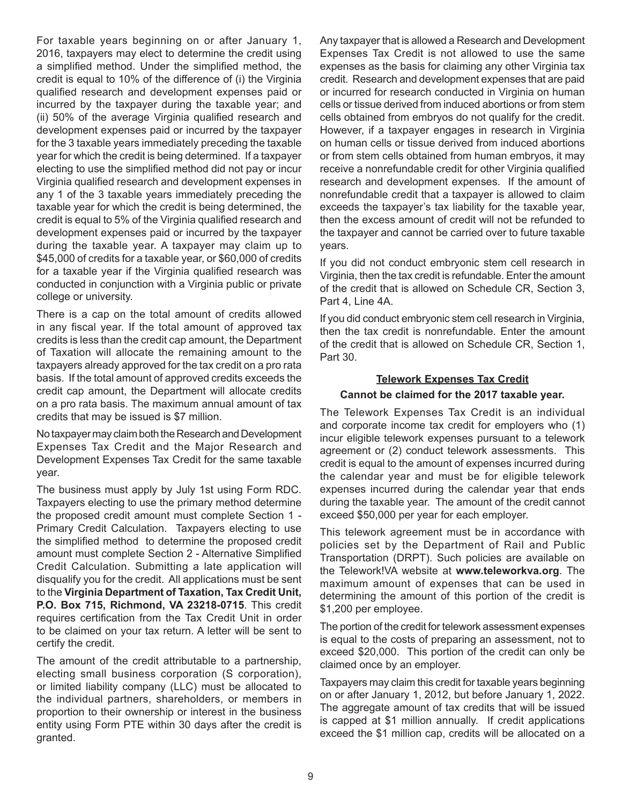For taxable years beginning on or after January 1, 2016, taxpayers may elect to determine the credit using a simplified method. Under the simplified method, the credit is equal to 10% of the difference of (i) the Virginia qualified research and development expenses paid or incurred by the taxpayer during the taxable year; and (ii) 50% of the average Virginia qualified research and development expenses paid or incurred by the taxpayer for the 3 taxable years immediately preceding the taxable year for which the credit is being determined. If a taxpayer electing to use the simplified method did not pay or incur Virginia qualified research and development expenses in any 1 of the 3 taxable years immediately preceding the taxable year for which the credit is being determined, the credit is equal to 5% of the Virginia qualified research and development expenses paid or incurred by the taxpayer during the taxable year. A taxpayer may claim up to \$45,000 of credits for a taxable year, or \$60,000 of credits for a taxable year if the Virginia qualified research was conducted in conjunction with a Virginia public or private college or university.

There is a cap on the total amount of credits allowed in any fiscal year. If the total amount of approved tax credits is less than the credit cap amount, the Department of Taxation will allocate the remaining amount to the taxpayers already approved for the tax credit on a pro rata basis. If the total amount of approved credits exceeds the credit cap amount, the Department will allocate credits on a pro rata basis. The maximum annual amount of tax credits that may be issued is \$7 million.

No taxpayer may claim both the Research and Development Expenses Tax Credit and the Major Research and Development Expenses Tax Credit for the same taxable year.

The business must apply by July 1st using Form RDC. Taxpayers electing to use the primary method determine the proposed credit amount must complete Section 1 - Primary Credit Calculation. Taxpayers electing to use the simplified method to determine the proposed credit amount must complete Section 2 - Alternative Simplified Credit Calculation. Submitting a late application will disqualify you for the credit. All applications must be sent to the **Virginia Department of Taxation, Tax Credit Unit, P.O. Box 715, Richmond, VA 23218-0715**. This credit requires certification from the Tax Credit Unit in order to be claimed on your tax return. A letter will be sent to certify the credit.

The amount of the credit attributable to a partnership, electing small business corporation (S corporation), or limited liability company (LLC) must be allocated to the individual partners, shareholders, or members in proportion to their ownership or interest in the business entity using Form PTE within 30 days after the credit is granted.

Any taxpayer that is allowed a Research and Development Expenses Tax Credit is not allowed to use the same expenses as the basis for claiming any other Virginia tax credit. Research and development expenses that are paid or incurred for research conducted in Virginia on human cells or tissue derived from induced abortions or from stem cells obtained from embryos do not qualify for the credit. However, if a taxpayer engages in research in Virginia on human cells or tissue derived from induced abortions or from stem cells obtained from human embryos, it may receive a nonrefundable credit for other Virginia qualified research and development expenses. If the amount of nonrefundable credit that a taxpayer is allowed to claim exceeds the taxpayer's tax liability for the taxable year, then the excess amount of credit will not be refunded to the taxpayer and cannot be carried over to future taxable years.

If you did not conduct embryonic stem cell research in Virginia, then the tax credit is refundable. Enter the amount of the credit that is allowed on Schedule CR, Section 3, Part 4, Line 4A.

If you did conduct embryonic stem cell research in Virginia, then the tax credit is nonrefundable. Enter the amount of the credit that is allowed on Schedule CR, Section 1, Part 30.

# **Telework Expenses Tax Credit**

#### **Cannot be claimed for the 2017 taxable year.**

The Telework Expenses Tax Credit is an individual and corporate income tax credit for employers who (1) incur eligible telework expenses pursuant to a telework agreement or (2) conduct telework assessments. This credit is equal to the amount of expenses incurred during the calendar year and must be for eligible telework expenses incurred during the calendar year that ends during the taxable year. The amount of the credit cannot exceed \$50,000 per year for each employer.

This telework agreement must be in accordance with policies set by the Department of Rail and Public Transportation (DRPT). Such policies are available on the Telework!VA website at **www.teleworkva.org**. The maximum amount of expenses that can be used in determining the amount of this portion of the credit is \$1,200 per employee.

The portion of the credit for telework assessment expenses is equal to the costs of preparing an assessment, not to exceed \$20,000. This portion of the credit can only be claimed once by an employer.

Taxpayers may claim this credit for taxable years beginning on or after January 1, 2012, but before January 1, 2022. The aggregate amount of tax credits that will be issued is capped at \$1 million annually. If credit applications exceed the \$1 million cap, credits will be allocated on a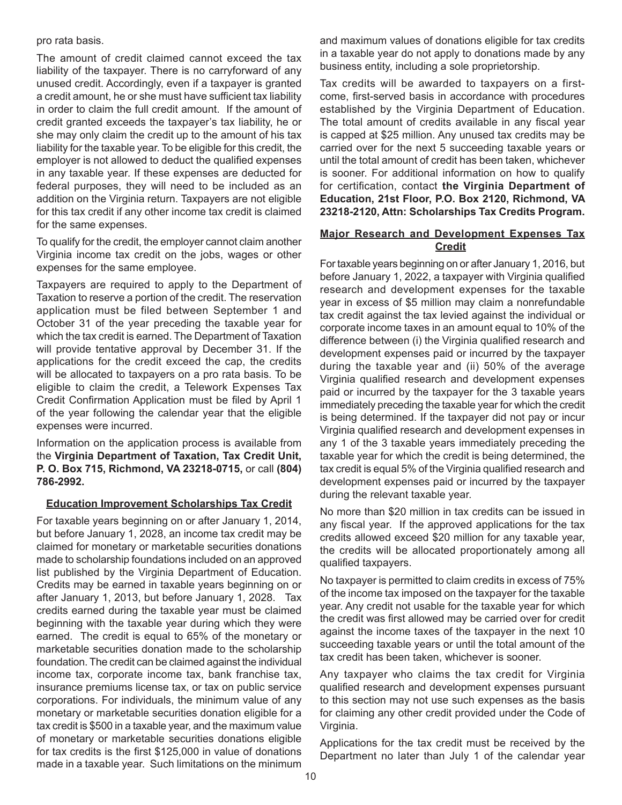#### pro rata basis.

The amount of credit claimed cannot exceed the tax liability of the taxpayer. There is no carryforward of any unused credit. Accordingly, even if a taxpayer is granted a credit amount, he or she must have sufficient tax liability in order to claim the full credit amount. If the amount of credit granted exceeds the taxpayer's tax liability, he or she may only claim the credit up to the amount of his tax liability for the taxable year. To be eligible for this credit, the employer is not allowed to deduct the qualified expenses in any taxable year. If these expenses are deducted for federal purposes, they will need to be included as an addition on the Virginia return. Taxpayers are not eligible for this tax credit if any other income tax credit is claimed for the same expenses.

To qualify for the credit, the employer cannot claim another Virginia income tax credit on the jobs, wages or other expenses for the same employee.

Taxpayers are required to apply to the Department of Taxation to reserve a portion of the credit. The reservation application must be filed between September 1 and October 31 of the year preceding the taxable year for which the tax credit is earned. The Department of Taxation will provide tentative approval by December 31. If the applications for the credit exceed the cap, the credits will be allocated to taxpayers on a pro rata basis. To be eligible to claim the credit, a Telework Expenses Tax Credit Confirmation Application must be filed by April 1 of the year following the calendar year that the eligible expenses were incurred.

Information on the application process is available from the **Virginia Department of Taxation, Tax Credit Unit, P. O. Box 715, Richmond, VA 23218-0715,** or call **(804) 786-2992.**

#### **Education Improvement Scholarships Tax Credit**

For taxable years beginning on or after January 1, 2014, but before January 1, 2028, an income tax credit may be claimed for monetary or marketable securities donations made to scholarship foundations included on an approved list published by the Virginia Department of Education. Credits may be earned in taxable years beginning on or after January 1, 2013, but before January 1, 2028. Tax credits earned during the taxable year must be claimed beginning with the taxable year during which they were earned. The credit is equal to 65% of the monetary or marketable securities donation made to the scholarship foundation. The credit can be claimed against the individual income tax, corporate income tax, bank franchise tax, insurance premiums license tax, or tax on public service corporations. For individuals, the minimum value of any monetary or marketable securities donation eligible for a tax credit is \$500 in a taxable year, and the maximum value of monetary or marketable securities donations eligible for tax credits is the first \$125,000 in value of donations made in a taxable year. Such limitations on the minimum

and maximum values of donations eligible for tax credits in a taxable year do not apply to donations made by any business entity, including a sole proprietorship.

Tax credits will be awarded to taxpayers on a firstcome, first-served basis in accordance with procedures established by the Virginia Department of Education. The total amount of credits available in any fiscal year is capped at \$25 million. Any unused tax credits may be carried over for the next 5 succeeding taxable years or until the total amount of credit has been taken, whichever is sooner. For additional information on how to qualify for certification, contact **the Virginia Department of Education, 21st Floor, P.O. Box 2120, Richmond, VA 23218-2120, Attn: Scholarships Tax Credits Program.**

#### **Major Research and Development Expenses Tax Credit**

For taxable years beginning on or after January 1, 2016, but before January 1, 2022, a taxpayer with Virginia qualified research and development expenses for the taxable year in excess of \$5 million may claim a nonrefundable tax credit against the tax levied against the individual or corporate income taxes in an amount equal to 10% of the difference between (i) the Virginia qualified research and development expenses paid or incurred by the taxpayer during the taxable year and (ii) 50% of the average Virginia qualified research and development expenses paid or incurred by the taxpayer for the 3 taxable years immediately preceding the taxable year for which the credit is being determined. If the taxpayer did not pay or incur Virginia qualified research and development expenses in any 1 of the 3 taxable years immediately preceding the taxable year for which the credit is being determined, the tax credit is equal 5% of the Virginia qualified research and development expenses paid or incurred by the taxpayer during the relevant taxable year.

No more than \$20 million in tax credits can be issued in any fiscal year. If the approved applications for the tax credits allowed exceed \$20 million for any taxable year, the credits will be allocated proportionately among all qualified taxpayers.

No taxpayer is permitted to claim credits in excess of 75% of the income tax imposed on the taxpayer for the taxable year. Any credit not usable for the taxable year for which the credit was first allowed may be carried over for credit against the income taxes of the taxpayer in the next 10 succeeding taxable years or until the total amount of the tax credit has been taken, whichever is sooner.

Any taxpayer who claims the tax credit for Virginia qualified research and development expenses pursuant to this section may not use such expenses as the basis for claiming any other credit provided under the Code of Virginia.

Applications for the tax credit must be received by the Department no later than July 1 of the calendar year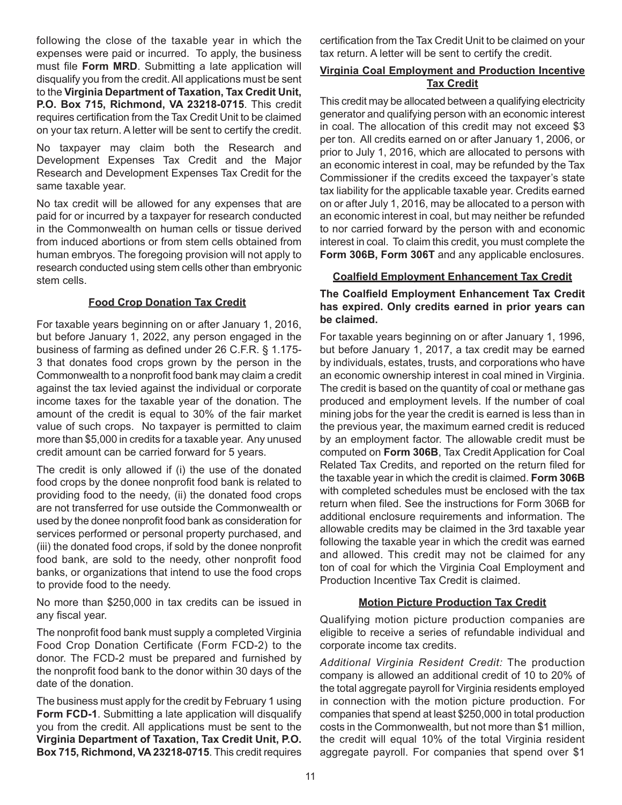following the close of the taxable year in which the expenses were paid or incurred. To apply, the business must file **Form MRD**. Submitting a late application will disqualify you from the credit. All applications must be sent to the **Virginia Department of Taxation, Tax Credit Unit, P.O. Box 715, Richmond, VA 23218-0715**. This credit requires certification from the Tax Credit Unit to be claimed on your tax return. A letter will be sent to certify the credit.

No taxpayer may claim both the Research and Development Expenses Tax Credit and the Major Research and Development Expenses Tax Credit for the same taxable year.

No tax credit will be allowed for any expenses that are paid for or incurred by a taxpayer for research conducted in the Commonwealth on human cells or tissue derived from induced abortions or from stem cells obtained from human embryos. The foregoing provision will not apply to research conducted using stem cells other than embryonic stem cells.

#### **Food Crop Donation Tax Credit**

For taxable years beginning on or after January 1, 2016, but before January 1, 2022, any person engaged in the business of farming as defined under 26 C.F.R. § 1.175- 3 that donates food crops grown by the person in the Commonwealth to a nonprofit food bank may claim a credit against the tax levied against the individual or corporate income taxes for the taxable year of the donation. The amount of the credit is equal to 30% of the fair market value of such crops. No taxpayer is permitted to claim more than \$5,000 in credits for a taxable year. Any unused credit amount can be carried forward for 5 years.

The credit is only allowed if (i) the use of the donated food crops by the donee nonprofit food bank is related to providing food to the needy, (ii) the donated food crops are not transferred for use outside the Commonwealth or used by the donee nonprofit food bank as consideration for services performed or personal property purchased, and (iii) the donated food crops, if sold by the donee nonprofit food bank, are sold to the needy, other nonprofit food banks, or organizations that intend to use the food crops to provide food to the needy.

No more than \$250,000 in tax credits can be issued in any fiscal year.

The nonprofit food bank must supply a completed Virginia Food Crop Donation Certificate (Form FCD-2) to the donor. The FCD-2 must be prepared and furnished by the nonprofit food bank to the donor within 30 days of the date of the donation.

The business must apply for the credit by February 1 using **Form FCD-1.** Submitting a late application will disqualify you from the credit. All applications must be sent to the **Virginia Department of Taxation, Tax Credit Unit, P.O. Box 715, Richmond, VA 23218-0715**. This credit requires

certification from the Tax Credit Unit to be claimed on your tax return. A letter will be sent to certify the credit.

# **Virginia Coal Employment and Production Incentive Tax Credit**

This credit may be allocated between a qualifying electricity generator and qualifying person with an economic interest in coal. The allocation of this credit may not exceed \$3 per ton. All credits earned on or after January 1, 2006, or prior to July 1, 2016, which are allocated to persons with an economic interest in coal, may be refunded by the Tax Commissioner if the credits exceed the taxpayer's state tax liability for the applicable taxable year. Credits earned on or after July 1, 2016, may be allocated to a person with an economic interest in coal, but may neither be refunded to nor carried forward by the person with and economic interest in coal. To claim this credit, you must complete the **Form 306B, Form 306T** and any applicable enclosures.

#### **Coalfield Employment Enhancement Tax Credit**

**The Coalfield Employment Enhancement Tax Credit has expired. Only credits earned in prior years can be claimed.**

For taxable years beginning on or after January 1, 1996, but before January 1, 2017, a tax credit may be earned by individuals, estates, trusts, and corporations who have an economic ownership interest in coal mined in Virginia. The credit is based on the quantity of coal or methane gas produced and employment levels. If the number of coal mining jobs for the year the credit is earned is less than in the previous year, the maximum earned credit is reduced by an employment factor. The allowable credit must be computed on **Form 306B**, Tax Credit Application for Coal Related Tax Credits, and reported on the return filed for the taxable year in which the credit is claimed. **Form 306B**  with completed schedules must be enclosed with the tax return when filed. See the instructions for Form 306B for additional enclosure requirements and information. The allowable credits may be claimed in the 3rd taxable year following the taxable year in which the credit was earned and allowed. This credit may not be claimed for any ton of coal for which the Virginia Coal Employment and Production Incentive Tax Credit is claimed.

#### **Motion Picture Production Tax Credit**

Qualifying motion picture production companies are eligible to receive a series of refundable individual and corporate income tax credits.

*Additional Virginia Resident Credit:* The production company is allowed an additional credit of 10 to 20% of the total aggregate payroll for Virginia residents employed in connection with the motion picture production. For companies that spend at least \$250,000 in total production costs in the Commonwealth, but not more than \$1 million, the credit will equal 10% of the total Virginia resident aggregate payroll. For companies that spend over \$1